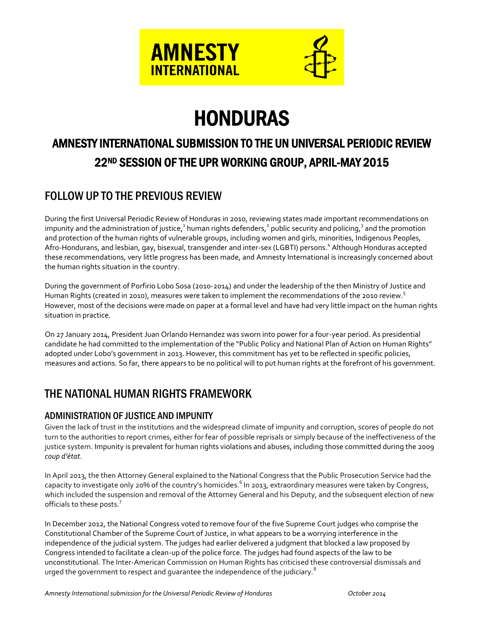

# HONDURAS

# AMNESTY INTERNATIONAL SUBMISSION TO THE UN UNIVERSAL PERIODIC REVIEW 22ND SESSION OF THE UPR WORKING GROUP, APRIL-MAY 2015

# FOLLOW UP TO THE PREVIOUS REVIEW

During the first Universal Periodic Review of Honduras in 2010, reviewing states made important recommendations on impunity and the administration of justice,<sup>1</sup> human rights defenders,<sup>2</sup> public security and policing,<sup>3</sup> and the promotion and protection of the human rights of vulnerable groups, including women and girls, minorities, Indigenous Peoples, Afro-Hondurans, and lesbian, gay, bisexual, transgender and inter-sex (LGBTI) persons. 4 Although Honduras accepted these recommendations, very little progress has been made, and Amnesty International is increasingly concerned about the human rights situation in the country.

During the government of Porfirio Lobo Sosa (2010-2014) and under the leadership of the then Ministry of Justice and Human Rights (created in 2010), measures were taken to implement the recommendations of the 2010 review.<sup>5</sup> However, most of the decisions were made on paper at a formal level and have had very little impact on the human rights situation in practice.

On 27 January 2014, President Juan Orlando Hernandez was sworn into power for a four-year period. As presidential candidate he had committed to the implementation of the "Public Policy and National Plan of Action on Human Rights" adopted under Lobo's government in 2013. However, this commitment has yet to be reflected in specific policies, measures and actions. So far, there appears to be no political will to put human rights at the forefront of his government.

## THE NATIONAL HUMAN RIGHTS FRAMEWORK

#### ADMINISTRATION OF JUSTICE AND IMPUNITY

Given the lack of trust in the institutions and the widespread climate of impunity and corruption, scores of people do not turn to the authorities to report crimes, either for fear of possible reprisals or simply because of the ineffectiveness of the justice system. Impunity is prevalent for human rights violations and abuses, including those committed during the 2009 *coup d'état*.

In April 2013, the then Attorney General explained to the National Congress that the Public Prosecution Service had the capacity to investigate only 20% of the country's homicides.<sup>6</sup> In 2013, extraordinary measures were taken by Congress, which included the suspension and removal of the Attorney General and his Deputy, and the subsequent election of new officials to these posts.<sup>7</sup>

In December 2012, the National Congress voted to remove four of the five Supreme Court judges who comprise the Constitutional Chamber of the Supreme Court of Justice, in what appears to be a worrying interference in the independence of the judicial system. The judges had earlier delivered a judgment that blocked a law proposed by Congress intended to facilitate a clean-up of the police force. The judges had found aspects of the law to be unconstitutional. The Inter-American Commission on Human Rights has criticised these controversial dismissals and urged the government to respect and guarantee the independence of the judiciary. $8$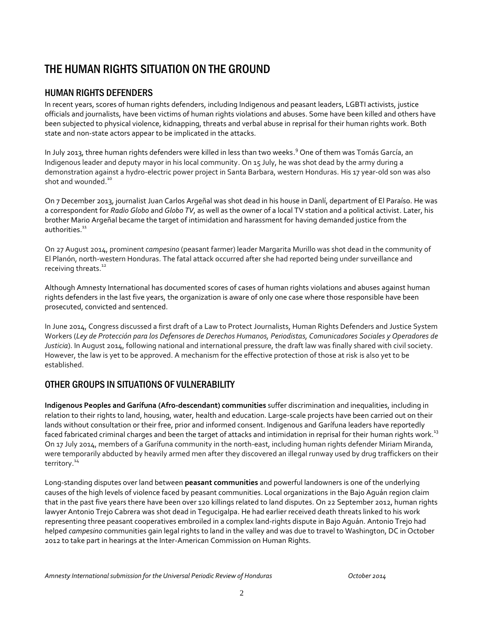# THE HUMAN RIGHTS SITUATION ON THE GROUND

#### HUMAN RIGHTS DEFENDERS

In recent years, scores of human rights defenders, including Indigenous and peasant leaders, LGBTI activists, justice officials and journalists, have been victims of human rights violations and abuses. Some have been killed and others have been subjected to physical violence, kidnapping, threats and verbal abuse in reprisal for their human rights work. Both state and non-state actors appear to be implicated in the attacks.

In July 2013, three human rights defenders were killed in less than two weeks. <sup>9</sup> One of them was Tomás García, an Indigenous leader and deputy mayor in his local community. On 15 July, he was shot dead by the army during a demonstration against a hydro-electric power project in Santa Barbara, western Honduras. His 17 year-old son was also shot and wounded.<sup>10</sup>

On 7 December 2013, journalist Juan Carlos Argeñal was shot dead in his house in Danlí, department of El Paraíso. He was a correspondent for *Radio Globo* and *Globo TV*, as well as the owner of a local TV station and a political activist. Later, his brother Mario Argeñal became the target of intimidation and harassment for having demanded justice from the authorities.<sup>11</sup>

On 27 August 2014, prominent *campesino* (peasant farmer) leader Margarita Murillo was shot dead in the community of El Planón, north-western Honduras. The fatal attack occurred after she had reported being under surveillance and receiving threats.<sup>12</sup>

Although Amnesty International has documented scores of cases of human rights violations and abuses against human rights defenders in the last five years, the organization is aware of only one case where those responsible have been prosecuted, convicted and sentenced.

In June 2014, Congress discussed a first draft of a Law to Protect Journalists, Human Rights Defenders and Justice System Workers (*Ley de Protección para los Defensores de Derechos Humanos, Periodistas, Comunicadores Sociales y Operadores de Justicia*). In August 2014, following national and international pressure, the draft law was finally shared with civil society. However, the law is yet to be approved. A mechanism for the effective protection of those at risk is also yet to be established.

#### OTHER GROUPS IN SITUATIONS OF VULNERABILITY

**Indigenous Peoples and Garífuna (Afro-descendant) communities** suffer discrimination and inequalities, including in relation to their rights to land, housing, water, health and education. Large-scale projects have been carried out on their lands without consultation or their free, prior and informed consent. Indigenous and Garífuna leaders have reportedly faced fabricated criminal charges and been the target of attacks and intimidation in reprisal for their human rights work.<sup>13</sup> On 17 July 2014, members of a Garífuna community in the north-east, including human rights defender Miriam Miranda, were temporarily abducted by heavily armed men after they discovered an illegal runway used by drug traffickers on their territory.<sup>14</sup>

Long-standing disputes over land between **peasant communities** and powerful landowners is one of the underlying causes of the high levels of violence faced by peasant communities. Local organizations in the Bajo Aguán region claim that in the past five years there have been over 120 killings related to land disputes. On 22 September 2012, human rights lawyer Antonio Trejo Cabrera was shot dead in Tegucigalpa. He had earlier received death threats linked to his work representing three peasant cooperatives embroiled in a complex land-rights dispute in Bajo Aguán. Antonio Trejo had helped *campesino* communities gain legal rights to land in the valley and was due to travel to Washington, DC in October 2012 to take part in hearings at the Inter-American Commission on Human Rights.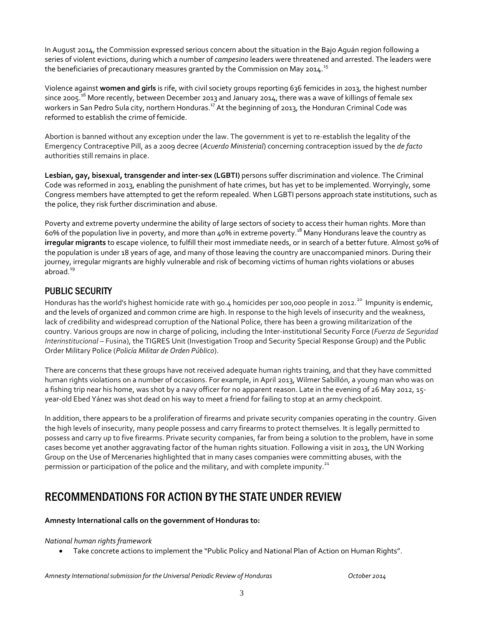In August 2014, the Commission expressed serious concern about the situation in the Bajo Aguán region following a series of violent evictions, during which a number of *campesino* leaders were threatened and arrested. The leaders were the beneficiaries of precautionary measures granted by the Commission on May 2014.<sup>15</sup>

Violence against **women and girls** is rife, with civil society groups reporting 636 femicides in 2013, the highest number since 2005.<sup>16</sup> More recently, between December 2013 and January 2014, there was a wave of killings of female sex workers in San Pedro Sula city, northern Honduras.<sup>17</sup> At the beginning of 2013, the Honduran Criminal Code was reformed to establish the crime of femicide.

Abortion is banned without any exception under the law. The government is yet to re-establish the legality of the Emergency Contraceptive Pill, as a 2009 decree (*Acuerdo Ministerial*) concerning contraception issued by the *de facto* authorities still remains in place.

**Lesbian, gay, bisexual, transgender and inter-sex (LGBTI)** persons suffer discrimination and violence. The Criminal Code was reformed in 2013, enabling the punishment of hate crimes, but has yet to be implemented. Worryingly, some Congress members have attempted to get the reform repealed. When LGBTI persons approach state institutions, such as the police, they risk further discrimination and abuse.

Poverty and extreme poverty undermine the ability of large sectors of society to access their human rights. More than 60% of the population live in poverty, and more than 40% in extreme poverty.<sup>18</sup> Many Hondurans leave the country as **irregular migrants** to escape violence, to fulfill their most immediate needs, or in search of a better future. Almost 50% of the population is under 18 years of age, and many of those leaving the country are unaccompanied minors. During their journey, irregular migrants are highly vulnerable and risk of becoming victims of human rights violations or abuses abroad. $19$ 

#### PUBLIC SECURITY

Honduras has the world's highest homicide rate with 90.4 homicides per 100,000 people in 2012.<sup>20</sup> Impunity is endemic, and the levels of organized and common crime are high. In response to the high levels of insecurity and the weakness, lack of credibility and widespread corruption of the National Police, there has been a growing militarization of the country. Various groups are now in charge of policing, including the Inter-institutional Security Force (*Fuerza de Seguridad Interinstitucional* – Fusina), the TIGRES Unit (Investigation Troop and Security Special Response Group) and the Public Order Military Police (*Policía Militar de Orden Público*).

There are concerns that these groups have not received adequate human rights training, and that they have committed human rights violations on a number of occasions. For example, in April 2013, Wilmer Sabillón, a young man who was on a fishing trip near his home, was shot by a navy officer for no apparent reason. Late in the evening of 26 May 2012, 15 year-old Ebed Yánez was shot dead on his way to meet a friend for failing to stop at an army checkpoint.

In addition, there appears to be a proliferation of firearms and private security companies operating in the country. Given the high levels of insecurity, many people possess and carry firearms to protect themselves. It is legally permitted to possess and carry up to five firearms. Private security companies, far from being a solution to the problem, have in some cases become yet another aggravating factor of the human rights situation. Following a visit in 2013, the UN Working Group on the Use of Mercenaries highlighted that in many cases companies were committing abuses, with the permission or participation of the police and the military, and with complete impunity.<sup>21</sup>

### RECOMMENDATIONS FOR ACTION BY THE STATE UNDER REVIEW

#### **Amnesty International calls on the government of Honduras to:**

#### *National human rights framework*

Take concrete actions to implement the "Public Policy and National Plan of Action on Human Rights".

*Amnesty International submission for the Universal Periodic Review of Honduras October 2014*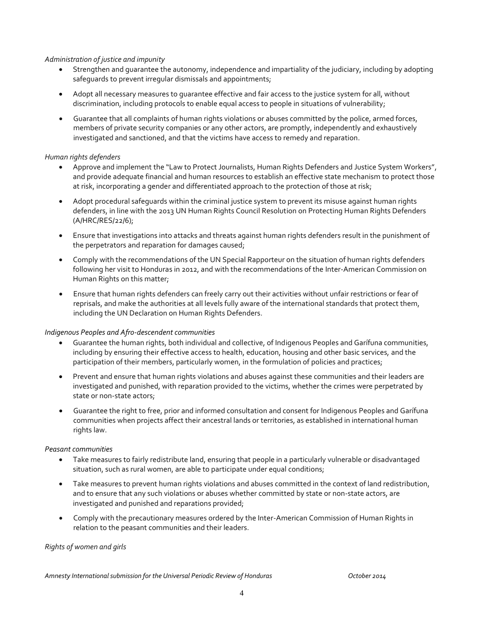#### *Administration of justice and impunity*

- Strengthen and guarantee the autonomy, independence and impartiality of the judiciary, including by adopting safeguards to prevent irregular dismissals and appointments;
- Adopt all necessary measures to guarantee effective and fair access to the justice system for all, without discrimination, including protocols to enable equal access to people in situations of vulnerability;
- Guarantee that all complaints of human rights violations or abuses committed by the police, armed forces, members of private security companies or any other actors, are promptly, independently and exhaustively investigated and sanctioned, and that the victims have access to remedy and reparation.

#### *Human rights defenders*

- Approve and implement the "Law to Protect Journalists, Human Rights Defenders and Justice System Workers", and provide adequate financial and human resources to establish an effective state mechanism to protect those at risk, incorporating a gender and differentiated approach to the protection of those at risk;
- Adopt procedural safeguards within the criminal justice system to prevent its misuse against human rights defenders, in line with the 2013 UN Human Rights Council Resolution on Protecting Human Rights Defenders (A/HRC/RES/22/6);
- Ensure that investigations into attacks and threats against human rights defenders result in the punishment of the perpetrators and reparation for damages caused;
- Comply with the recommendations of the UN Special Rapporteur on the situation of human rights defenders following her visit to Honduras in 2012, and with the recommendations of the Inter-American Commission on Human Rights on this matter;
- Ensure that human rights defenders can freely carry out their activities without unfair restrictions or fear of reprisals, and make the authorities at all levels fully aware of the international standards that protect them, including the UN Declaration on Human Rights Defenders.

#### *Indigenous Peoples and Afro-descendent communities*

- Guarantee the human rights, both individual and collective, of Indigenous Peoples and Garífuna communities, including by ensuring their effective access to health, education, housing and other basic services, and the participation of their members, particularly women, in the formulation of policies and practices;
- Prevent and ensure that human rights violations and abuses against these communities and their leaders are investigated and punished, with reparation provided to the victims, whether the crimes were perpetrated by state or non-state actors;
- Guarantee the right to free, prior and informed consultation and consent for Indigenous Peoples and Garífuna communities when projects affect their ancestral lands or territories, as established in international human rights law.

#### *Peasant communities*

- Take measures to fairly redistribute land, ensuring that people in a particularly vulnerable or disadvantaged situation, such as rural women, are able to participate under equal conditions;
- Take measures to prevent human rights violations and abuses committed in the context of land redistribution, and to ensure that any such violations or abuses whether committed by state or non-state actors, are investigated and punished and reparations provided;
- Comply with the precautionary measures ordered by the Inter-American Commission of Human Rights in relation to the peasant communities and their leaders.

#### *Rights of women and girls*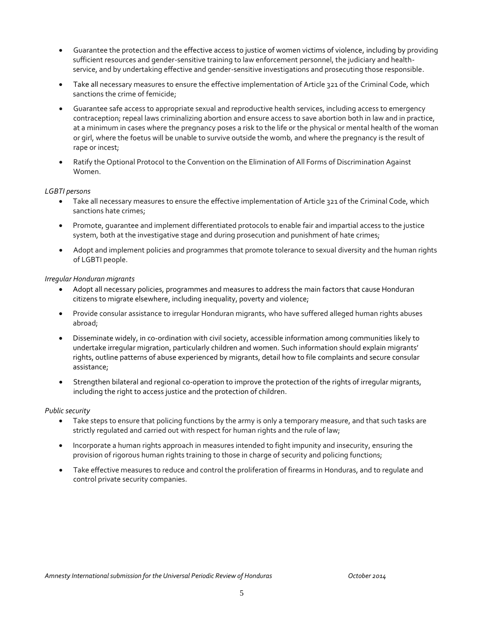- Guarantee the protection and the effective access to justice of women victims of violence, including by providing sufficient resources and gender-sensitive training to law enforcement personnel, the judiciary and healthservice, and by undertaking effective and gender-sensitive investigations and prosecuting those responsible.
- Take all necessary measures to ensure the effective implementation of Article 321 of the Criminal Code, which sanctions the crime of femicide;
- Guarantee safe access to appropriate sexual and reproductive health services, including access to emergency contraception; repeal laws criminalizing abortion and ensure access to save abortion both in law and in practice, at a minimum in cases where the pregnancy poses a risk to the life or the physical or mental health of the woman or girl, where the foetus will be unable to survive outside the womb, and where the pregnancy is the result of rape or incest;
- Ratify the Optional Protocol to the Convention on the Elimination of All Forms of Discrimination Against Women.

#### *LGBTI persons*

- Take all necessary measures to ensure the effective implementation of Article 321 of the Criminal Code, which sanctions hate crimes;
- Promote, guarantee and implement differentiated protocols to enable fair and impartial access to the justice system, both at the investigative stage and during prosecution and punishment of hate crimes;
- Adopt and implement policies and programmes that promote tolerance to sexual diversity and the human rights of LGBTI people.

#### *Irregular Honduran migrants*

- Adopt all necessary policies, programmes and measures to address the main factors that cause Honduran citizens to migrate elsewhere, including inequality, poverty and violence;
- Provide consular assistance to irregular Honduran migrants, who have suffered alleged human rights abuses abroad;
- Disseminate widely, in co-ordination with civil society, accessible information among communities likely to undertake irregular migration, particularly children and women. Such information should explain migrants' rights, outline patterns of abuse experienced by migrants, detail how to file complaints and secure consular assistance;
- Strengthen bilateral and regional co-operation to improve the protection of the rights of irregular migrants, including the right to access justice and the protection of children.

#### *Public security*

- Take steps to ensure that policing functions by the army is only a temporary measure, and that such tasks are strictly regulated and carried out with respect for human rights and the rule of law;
- Incorporate a human rights approach in measures intended to fight impunity and insecurity, ensuring the provision of rigorous human rights training to those in charge of security and policing functions;
- Take effective measures to reduce and control the proliferation of firearms in Honduras, and to regulate and control private security companies.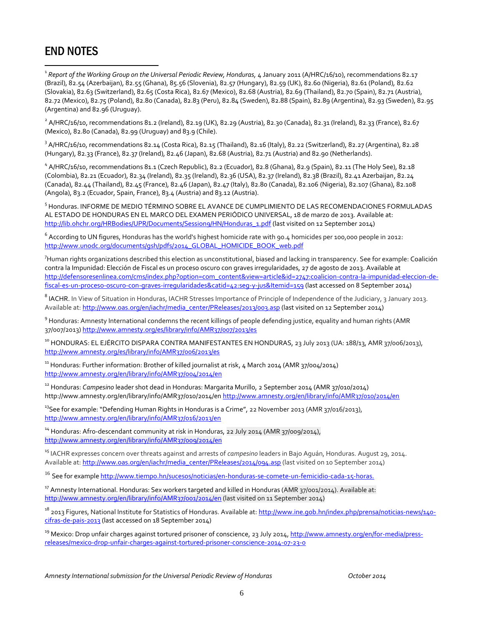# END NOTES

 $\overline{a}$ 

<sup>1</sup> Report of the Working Group on the Universal Periodic Review, Honduras, 4 January 2011 (A/HRC/16/10), recommendations 82.17 (Brazil), 82.54 (Azerbaijan), 82.55 (Ghana), 85.56 (Slovenia), 82.57 (Hungary), 82.59 (UK), 82.60 (Nigeria), 82.61 (Poland), 82.62 (Slovakia), 82.63 (Switzerland), 82.65 (Costa Rica), 82.67 (Mexico), 82.68 (Austria), 82.69 (Thailand), 82.70 (Spain), 82.71 (Austria), 82.72 (Mexico), 82.75 (Poland), 82.80 (Canada), 82.83 (Peru), 82.84 (Sweden), 82.88 (Spain), 82.89 (Argentina), 82.93 (Sweden), 82.95 (Argentina) and 82.96 (Uruguay).

 $^2$  A/HRC/16/10, recommendations 81.2 (Ireland), 82.19 (UK), 82.29 (Austria), 82.30 (Canada), 82.31 (Ireland), 82.33 (France), 82.67 (Mexico), 82.80 (Canada), 82.99 (Uruguay) and 83.9 (Chile).

<sup>3</sup> A/HRC/16/10, recommendations 82.14 (Costa Rica), 82.15 (Thailand), 82.16 (Italy), 82.22 (Switzerland), 82.27 (Argentina), 82.28 (Hungary), 82.33 (France), 82.37 (Ireland), 82.46 (Japan), 82.68 (Austria), 82.71 (Austria) and 82.90 (Netherlands).

<sup>4</sup> A/HRC/16/10, recommendations 81.1 (Czech Republic), 82.2 (Ecuador), 82.8 (Ghana), 82.9 (Spain), 82.11 (The Holy See), 82.18 (Colombia), 82.21 (Ecuador), 82.34 (Ireland), 82.35 (Ireland), 82.36 (USA), 82.37 (Ireland), 82.38 (Brazil), 82.41 Azerbaijan, 82.24 (Canada), 82.44 (Thailand), 82.45 (France), 82.46 (Japan), 82.47 (Italy), 82.80 (Canada), 82.106 (Nigeria), 82.107 (Ghana), 82.108 (Angola), 83.2 (Ecuador, Spain, France), 83.4 (Austria) and 83.12 (Austria).

5 Honduras. INFORME DE MEDIO TÉRMINO SOBRE EL AVANCE DE CUMPLIMIENTO DE LAS RECOMENDACIONES FORMULADAS AL ESTADO DE HONDURAS EN EL MARCO DEL EXAMEN PERIÓDICO UNIVERSAL, 18 de marzo de 2013. Available at: [http://lib.ohchr.org/HRBodies/UPR/Documents/Session9/HN/Honduras\\_1.pdf](http://lib.ohchr.org/HRBodies/UPR/Documents/Session9/HN/Honduras_1.pdf) (last visited on 12 September 2014)

 $^6$  According to UN figures, Honduras has the world's highest homicide rate with 90.4 homicides per 100,000 people in 2012: [http://www.unodc.org/documents/gsh/pdfs/2014\\_GLOBAL\\_HOMICIDE\\_BOOK\\_web.pdf](http://www.unodc.org/documents/gsh/pdfs/2014_GLOBAL_HOMICIDE_BOOK_web.pdf)

 $^7$ Human rights organizations described this election as unconstitutional, biased and lacking in transparency. See for example: Coalición contra la Impunidad: Elección de Fiscal es un proceso oscuro con graves irregularidades, 27 de agosto de 2013. Available at [http://defensoresenlinea.com/cms/index.php?option=com\\_content&view=article&id=2747:coalicion-contra-la-impunidad-eleccion-de](http://defensoresenlinea.com/cms/index.php?option=com_content&view=article&id=2747:coalicion-contra-la-impunidad-eleccion-de-fiscal-es-un-proceso-oscuro-con-graves-irregularidades&catid=42:seg-y-jus&Itemid=159)[fiscal-es-un-proceso-oscuro-con-graves-irregularidades&catid=42:seg-y-jus&Itemid=159](http://defensoresenlinea.com/cms/index.php?option=com_content&view=article&id=2747:coalicion-contra-la-impunidad-eleccion-de-fiscal-es-un-proceso-oscuro-con-graves-irregularidades&catid=42:seg-y-jus&Itemid=159) (last accessed on 8 September 2014)

 $^8$  IACHR. In View of Situation in Honduras, IACHR Stresses Importance of Principle of Independence of the Judiciary, 3 January 2013. Available at[: http://www.oas.org/en/iachr/media\\_center/PReleases/2013/003.asp](http://www.oas.org/en/iachr/media_center/PReleases/2013/003.asp) (last visited on 12 September 2014)

<sup>9</sup> Honduras: Amnesty International condemns the recent killings of people defending justice, equality and human rights (AMR 37/007/2013[\) http://www.amnesty.org/es/library/info/AMR37/007/2013/es](http://www.amnesty.org/es/library/info/AMR37/007/2013/es)

<sup>10</sup> HONDURAS: EL EJÉRCITO DISPARA CONTRA MANIFESTANTES EN HONDURAS, 23 July 2013 (UA: 188/13, AMR 37/006/2013), <http://www.amnesty.org/es/library/info/AMR37/006/2013/es>

<sup>11</sup> Honduras: Further information: Brother of killed journalist at risk, 4 March 2014 (AMR 37/004/2014) <http://www.amnesty.org/en/library/info/AMR37/004/2014/en>

<sup>12</sup> Honduras: *Campesino* leader shot dead in Honduras: Margarita Murillo, 2 September 2014 (AMR 37/010/2014) http://www.amnesty.org/en/library/info/AMR37/010/2014/en<http://www.amnesty.org/en/library/info/AMR37/010/2014/en>

 $13$ See for example: "Defending Human Rights in Honduras is a Crime", 22 November 2013 (AMR 37/016/2013), <http://www.amnesty.org/en/library/info/AMR37/016/2013/en>

<sup>14</sup> Honduras: Afro-descendant community at risk in Honduras, 22 July 2014 (AMR 37/009/2014), <http://www.amnesty.org/en/library/info/AMR37/009/2014/en>

<sup>15</sup> IACHR expresses concern over threats against and arrests of *campesino* leaders in Bajo Aguán, Honduras. August 29, 2014. Available at[: http://www.oas.org/en/iachr/media\\_center/PReleases/2014/094.asp](http://www.oas.org/en/iachr/media_center/PReleases/2014/094.asp) (last visited on 10 September 2014)

<sup>16</sup> See for exampl[e http://www.tiempo.hn/sucesos/noticias/en-honduras-se-comete-un-femicidio-cada-15-horas.](http://www.tiempo.hn/sucesos/noticias/en-honduras-se-comete-un-femicidio-cada-15-horas)

<sup>17</sup> Amnesty International. Honduras: Sex workers targeted and killed in Honduras (AMR 37/001/2014). Available at: <http://www.amnesty.org/en/library/info/AMR37/001/2014/en> (last visited on 11 September 2014)

<sup>18</sup> 2013 Figures, National Institute for Statistics of Honduras. Available at[: http://www.ine.gob.hn/index.php/prensa/noticias-news/140](http://www.ine.gob.hn/index.php/prensa/noticias-news/140-cifras-de-pais-2013) [cifras-de-pais-2013](http://www.ine.gob.hn/index.php/prensa/noticias-news/140-cifras-de-pais-2013) (last accessed on 18 September 2014)

<sup>19</sup> Mexico: Drop unfair charges against tortured prisoner of conscience, 23 July 2014[, http://www.amnesty.org/en/for-media/press](http://www.amnesty.org/en/for-media/press-releases/mexico-drop-unfair-charges-against-tortured-prisoner-conscience-2014-07-23-0)[releases/mexico-drop-unfair-charges-against-tortured-prisoner-conscience-2014-07-23-0](http://www.amnesty.org/en/for-media/press-releases/mexico-drop-unfair-charges-against-tortured-prisoner-conscience-2014-07-23-0)